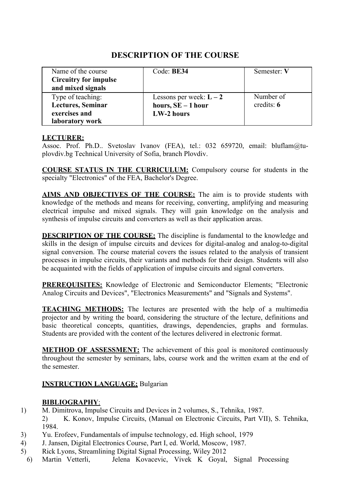| Name of the course           | Code: BE34                | Semester: V  |
|------------------------------|---------------------------|--------------|
| <b>Circuitry for impulse</b> |                           |              |
| and mixed signals            |                           |              |
| Type of teaching:            | Lessons per week: $L - 2$ | Number of    |
| <b>Lectures, Seminar</b>     | hours, $SE - 1$ hour      | credits: $6$ |
| exercises and                | LW-2 hours                |              |
| laboratory work              |                           |              |

#### **LECTURER:**

Assoc. Prof. Ph.D.. Svetoslav Ivanov (FEA), tel.: 032 659720, email: [bluflam@tu](mailto:bluflam@tu-plovdiv.bg)[plovdiv.bg](mailto:bluflam@tu-plovdiv.bg) Technical University of Sofia, branch Plovdiv.

**COURSE STATUS IN THE CURRICULUM:** Compulsory course for students in the specialty "Electronics" of the FEA, Bachelor's Degree.

**AIMS AND OBJECTIVES OF THE COURSE:** The aim is to provide students with knowledge of the methods and means for receiving, converting, amplifying and measuring electrical impulse and mixed signals. They will gain knowledge on the analysis and synthesis of impulse circuits and converters as well as their application areas.

**DESCRIPTION OF THE COURSE:** The discipline is fundamental to the knowledge and skills in the design of impulse circuits and devices for digital-analog and analog-to-digital signal conversion. The course material covers the issues related to the analysis of transient processes in impulse circuits, their variants and methods for their design. Students will also be acquainted with the fields of application of impulse circuits and signal converters.

**PREREQUISITES:** Knowledge of Electronic and Semiconductor Elements; "Electronic Analog Circuits and Devices", "Electronics Measurements" and "Signals and Systems".

**TEACHING METHODS:** The lectures are presented with the help of a multimedia projector and by writing the board, considering the structure of the lecture, definitions and basic theoretical concepts, quantities, drawings, dependencies, graphs and formulas. Students are provided with the content of the lectures delivered in electronic format.

**METHOD OF ASSESSMENT:** The achievement of this goal is monitored continuously throughout the semester by seminars, labs, course work and the written exam at the end of the semester.

#### **INSTRUCTION LANGUAGE;** Bulgarian

#### **BIBLIOGRAPHY**:

- 1) M. Dimitrova, Impulse Circuits and Devices in 2 volumes, S., Tehnika, 1987. 2) K. Konov, Impulse Circuits, (Manual on Electronic Circuits, Part VII), S. Tehnika, 1984.
- 3) Yu. Erofeev, Fundamentals of impulse technology, ed. High school, 1979
- 4) J. Jansen, Digital Electronics Course, Part I, ed. World, Moscow, 1987.
- 5) Rick Lyons, Streamlining Digital Signal Processing, Wiley 2012
- 6) Martin Vetterli, Jelena Kovacevic, Vivek K Goyal, Signal Processing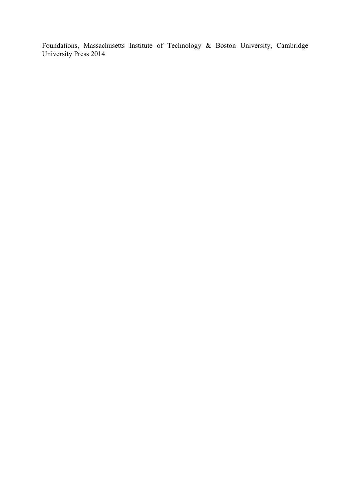Foundations, Massachusetts Institute of Technology & Boston University, Cambridge University Press 2014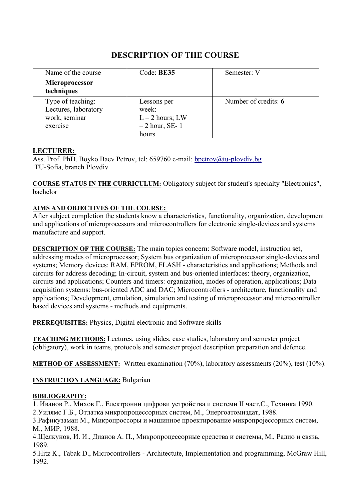| Name of the course                                                     | Code: BE35                                                            | Semester: V          |
|------------------------------------------------------------------------|-----------------------------------------------------------------------|----------------------|
| <b>Microprocessor</b><br>techniques                                    |                                                                       |                      |
| Type of teaching:<br>Lectures, laboratory<br>work, seminar<br>exercise | Lessons per<br>week:<br>$L - 2$ hours; LW<br>$-2$ hour, SE-1<br>hours | Number of credits: 6 |

# **LECTURER:**

Ass. Prof. PhD. Boyko Baev Petrov, tel: 659760 e-mail: [bpetrov@tu-plovdiv.bg](mailto:bpetrov@tu-plovdiv.bg) TU-Sofia, branch Plovdiv

**COURSE STATUS IN THE CURRICULUM:** Obligatory subject for student's specialty "Electronics", bachelor

# **AIMS AND OBJECTIVES OF THE COURSE:**

After subject completion the students know a characteristics, functionality, organization, development and applications of microprocessors and microcontrollers for electronic single-devices and systems manufacture and support.

**DESCRIPTION OF THE COURSE:** The main topics concern: Software model, instruction set, addressing modes of microprocessor; System bus organization of microprocessor single-devices and systems; Memory devices: RAM, EPROM, FLASH - characteristics and applications; Methods and circuits for address decoding; In-circuit, system and bus-oriented interfaces: theory, organization, circuits and applications; Counters and timers: organization, modes of operation, applications; Data acquisition systems: bus-oriented ADC and DAC; Microcontrollers - architecture, functionality and applications; Development, emulation, simulation and testing of microprocessor and microcontroller based devices and systems - methods and equipments.

**PREREQUISITES:** Physics, Digital electronic and Software skills

**TEACHING METHODS:** Lectures, using slides, case studies, laboratory and semester project (obligatory), work in teams, protocols and semester project description preparation and defence.

**METHOD OF ASSESSMENT:** Written examination (70%), laboratory assessments (20%), test (10%).

**INSTRUCTION LANGUAGE:** Bulgarian

# **BIBLIOGRAPHY:**

1. Иванов Р., Михов Г., Електронни цифрови устройства и системи II част,C., Техника 1990. 2.Уилямс Г.Б., Отлатка микропроцессорных систем, М., Энергоатомиздат, 1988.

3.Рафикузаман М., Микропроссоры и машинное проектирование микропројессорных систем, М., МИР, 1988.

4.Щелкунов, И. И., Дианов А. П., Микропроцессорные средства и системы, М., Радио и связь, 1989.

5.Hitz K., Tabak D., Microcontrollers - Architectute, Implementation and programming, McGraw Hill, 1992.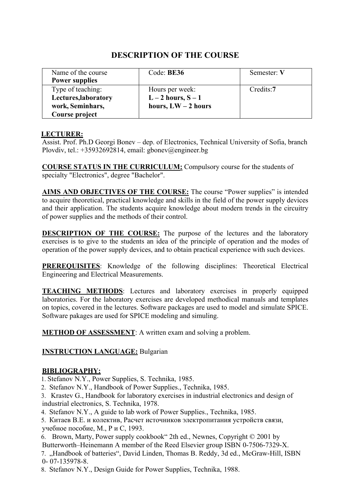| Name of the course    | Code: BE36            | Semester: V |
|-----------------------|-----------------------|-------------|
| <b>Power supplies</b> |                       |             |
| Type of teaching:     | Hours per week:       | Credits:7   |
| Lectures, laboratory  | $L-2$ hours, $S-1$    |             |
| work, Seminhars,      | hours, $LW - 2$ hours |             |
| Course project        |                       |             |

#### **LECTURER:**

Assist. Prof. Ph.D Georgi Bonev – dep. of Electronics, Technical University of Sofia, branch Plovdiv, tel.: +35932692814, email: [gbonev@engineer.bg](mailto:gbonev@engineer.bg)

**COURSE STATUS IN THE CURRICULUM:** Compulsory course for the students of specialty "Electronics", degree "Bachelor".

**AIMS AND OBJECTIVES OF THE COURSE:** The course "Power supplies" is intended to acquire theoretical, practical knowledge and skills in the field of the power supply devices and their application. The students acquire knowledge about modern trends in the circuitry of power supplies and the methods of their control.

**DESCRIPTION OF THE COURSE:** The purpose of the lectures and the laboratory exercises is to give to the students an idea of the principle of operation and the modes of operation of the power supply devices, and to obtain practical experience with such devices.

**PREREQUISITES:** Knowledge of the following disciplines: Theoretical Electrical Engineering and Electrical Measurements.

**TEACHING METHODS**: Lectures and laboratory exercises in properly equipped laboratories. For the laboratory exercises are developed methodical manuals and templates on topics, covered in the lectures. Software packages are used to model and simulate SPICE. Software pakages are used for SPICE modeling and simuling.

**METHOD OF ASSESSMENT:** A written exam and solving a problem.

#### **INSTRUCTION LANGUAGE:** Bulgarian

#### **BIBLIOGRAPHY:**

1. Stefanov N.Y., Power Supplies, S. Technika, 1985.

2. Stefanov N.Y., Handbook of Power Supplies., Technika, 1985.

3. Krastev G., Handbook for laboratory exercises in industrial electronics and design of industrial electronics, S. Technika, 1978.

- 4. Stefanov N.Y., A guide to lab work of Power Supplies., Technika, 1985.
- 5. Китаев В.Е. и колектив, Расчет источников электропитания устройств связи, учебное пособие, М., Р и С, 1993.
- 6. Brown, Marty, Power supply cookbook" 2th ed., Newnes, Copyright © 2001 by Butterworth–Heinemann A member of the Reed Elsevier group ISBN 0-7506-7329-X.
- 7. "Handbook of batteries", David Linden, Thomas B. Reddy, 3d ed., McGraw-Hill, ISBN 0- 07-135978-8.

8. Stefanov N.Y., Design Guide for Power Supplies, Technika, 1988.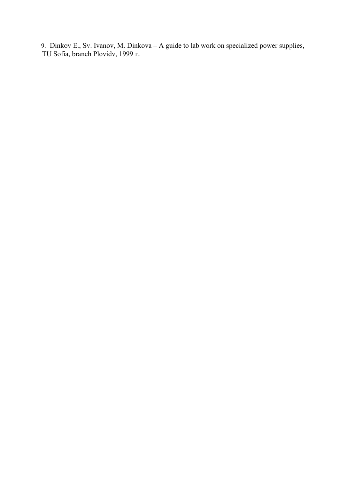9. Dinkov E., Sv. Ivanov, M. Dinkova – A guide to lab work on specialized power supplies, TU Sofia, branch Plovidv, 1999 г.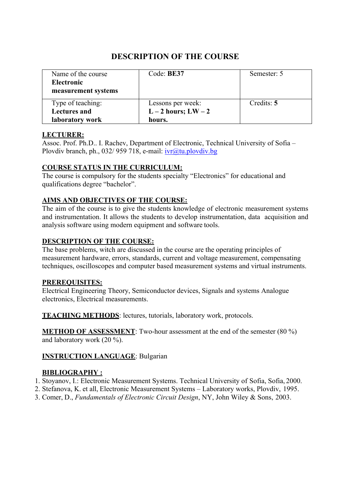| Name of the course<br><b>Electronic</b><br>measurement systems | Code: BE37          | Semester: 5 |
|----------------------------------------------------------------|---------------------|-------------|
| Type of teaching:                                              | Lessons per week:   | Credits: 5  |
| <b>Lectures and</b>                                            | $L-2$ hours; $LW-2$ |             |
| laboratory work                                                | hours.              |             |

# **LECTURER:**

Assoc. Prof. Ph.D.. I. Rachev, Department of Electronic, Technical University of Sofia – Plovdiv branch, ph., 032/ 959 718, e-mail: [ivr@tu.plovdiv.bg](mailto:ivr@tu.plovdiv.bg)

# **COURSE STATUS IN THE CURRICULUM:**

The course is compulsory for the students specialty "Electronics" for educational and qualifications degree "bachelor".

# **AIMS AND OBJECTIVES OF THE COURSE:**

The aim of the course is to give the students knowledge of electronic measurement systems and instrumentation. It allows the students to develop instrumentation, data acquisition and analysis software using modern equipment and software tools.

#### **DESCRIPTION OF THE COURSE:**

The base problems, witch are discussed in the course are the operating principles of measurement hardware, errors, standards, current and voltage measurement, compensating techniques, oscilloscopes and computer based measurement systems and virtual instruments.

#### **PREREQUISITES:**

Electrical Engineering Theory, Semiconductor devices, Signals and systems Analogue electronics, Electrical measurements.

**TEACHING METHODS**: lectures, tutorials, laboratory work, protocols.

**METHOD OF ASSESSMENT**: Two-hour assessment at the end of the semester (80 %) and laboratory work (20 %).

# **INSTRUCTION LANGUAGE**: Bulgarian

#### **BIBLIOGRAPHY :**

- 1. Stoyanov, I.: Electronic Measurement Systems. Technical University of Sofia, Sofia, 2000.
- 2. Stefanova, K. et all, Electronic Measurement Systems Laboratory works, Plovdiv, 1995.
- 3. Comer, D., *Fundamentals of Electronic Circuit Design*, NY, John Wiley & Sons, 2003.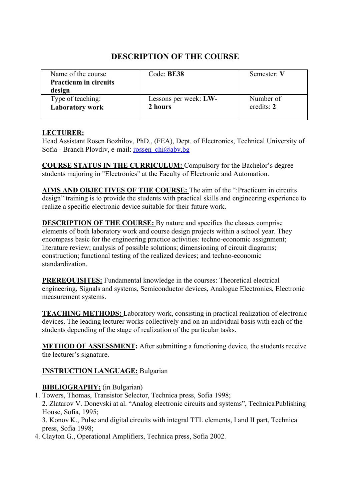| Name of the course<br><b>Practicum in circuits</b><br>design | Code: BE38            | Semester: V |
|--------------------------------------------------------------|-----------------------|-------------|
| Type of teaching:                                            | Lessons per week: LW- | Number of   |
| <b>Laboratory work</b>                                       | 2 hours               | credits: 2  |

# **LECTURER:**

Head Assistant Rosen Bozhilov, PhD., (FEA), Dept. of Electronics, Technical University of Sofia - Branch Plovdiv, e-mail: [rossen\\_chi@abv.bg](mailto:rossen_chi@abv.bg)

**COURSE STATUS IN THE CURRICULUM:** Compulsory for the Bachelor's degree students majoring in "Electronics" at the Faculty of Electronic and Automation.

**AIMS AND OBJECTIVES OF THE COURSE:** The aim of the ":Practicum in circuits design" training is to provide the students with practical skills and engineering experience to realize a specific electronic device suitable for their future work.

**DESCRIPTION OF THE COURSE:** By nature and specifics the classes comprise elements of both laboratory work and course design projects within a school year. They encompass basic for the engineering practice activities: techno-economic assignment; literature review; analysis of possible solutions; dimensioning of circuit diagrams; construction; functional testing of the realized devices; and techno-economic standardization.

**PREREQUISITES:** Fundamental knowledge in the courses: Theoretical electrical engineering, Signals and systems, Semiconductor devices, Analogue Electronics, Electronic measurement systems.

**TEACHING METHODS:** Laboratory work, consisting in practical realization of electronic devices. The leading lecturer works collectively and on an individual basis with each of the students depending of the stage of realization of the particular tasks.

**METHOD OF ASSESSMENT:** After submitting a functioning device, the students receive the lecturer's signature.

# **INSTRUCTION LANGUAGE:** Bulgarian

# **BIBLIOGRAPHY:** (in Bulgarian)

1. Towers, Thomas, Transistor Selector, Technica press, Sofia 1998; 2. Zlatarov V. Donevski at al. "Analog electronic circuits and systems", Technica Publishing House, Sofia, 1995;

3. Konov K., Pulse and digital circuits with integral TTL elements, I and II part, Technica press, Sofia 1998;

4. Clayton G., Operational Amplifiers, Technica press, Sofia 2002.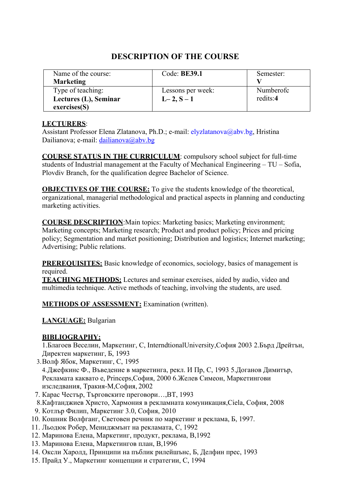#### Name of the course: **Marketing** Code: **BE39.1** Semester: **V** Type of teaching: **Lectures (L), Seminar exercises(S)** Lessons per week:  $L-2, S-1$ Numberofc redits:**4**

# **DESCRIPTION OF THE COURSE**

## **LECTURERS**:

Assistant Professor Elena Zlatanova, Ph.D.; e-mail: [elyzlatanova@abv.bg,](mailto:elyzlatanova@abv.bg) Hristina Dailianova; e-mail: [dailianova@abv.bg](mailto:dailianova@abv.bg)

**COURSE STATUS IN THE CURRICULUM**: compulsory school subject for full-time students of Industrial management at the Faculty of Mechanical Engineering – TU – Sofia, Plovdiv Branch, for the qualification degree Bachelor of Science.

**OBJECTIVES OF THE COURSE:** To give the students knowledge of the theoretical, organizational, managerial methodological and practical aspects in planning and conducting marketing activities.

**COURSE DESCRIPTION**:Main topics: Marketing basics; Marketing environment; Marketing concepts; Marketing research; Product and product policy; Prices and pricing policy; Segmentation and market positioning; Distribution and logistics; Internet marketing; Advertising; Public relations.

**PREREQUISITES:** Basic knowledge of economics, sociology, basics of management is required.

**TEACHING METHODS:** Lectures and seminar exercises, aided by audio, video and multimedia technique. Active methods of teaching, involving the students, are used.

**METHODS OF ASSESSMENT:** Examination (written).

# **LANGUAGE:** Bulgarian

# **BIBLIOGRAPHY:**

1.Благоев Веселин, Маркетинг, С, InterndtionalUniversity,София 2003 2.Бърд Дрейтън, Директен маркетинг, Б, 1993

- 3.Волф Ябок, Маркетинг, С, 1995 4.Джефкинс Ф., Въведение в маркетинга, рекл. И Пр, С, 1993 5.Доганов Димитър, Рекламата каквато е, Princeps,София, 2000 6.Желев Симеон, Маркетингови изследвания, Тракия-М,София, 2002
- 7. Карас Честър, Търговските преговори…,ВТ, 1993
- 8.Кафтанджиев Христо, Хармония в рекламната комуникация,Ciela, София, 2008
- 9. Котлър Филип, Маркетинг 3.0, София, 2010
- 10. Кошник Волфганг, Световен речник по маркетинг и реклама, Б, 1997.
- 11. Льодюк Робер, Мениджмънт на рекламата, С, 1992
- 12. Маринова Елена, Маркетинг, продукт, реклама, В,1992
- 13. Маринова Елена, Маркетингов план, В,1996
- 14. Оксли Харолд, Принципи на пъблик рилейшънс, Б, Делфин прес, 1993
- 15. Прайд У., Маркетинг концепции и стратегии, С, 1994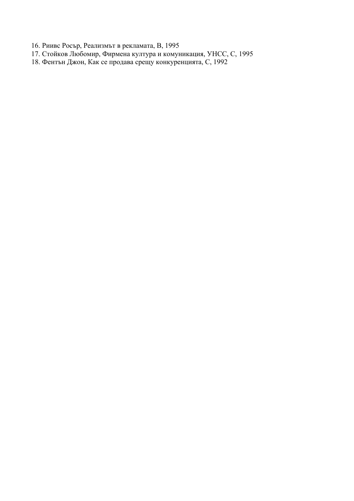16. Риивс Росър, Реализмът в рекламата, В, 1995

- 17. Стойков Любомир, Фирмена култура и комуникация, УНСС, С, 1995
- 18. Фентън Джон, Как се продава срещу конкуренцията, С, 1992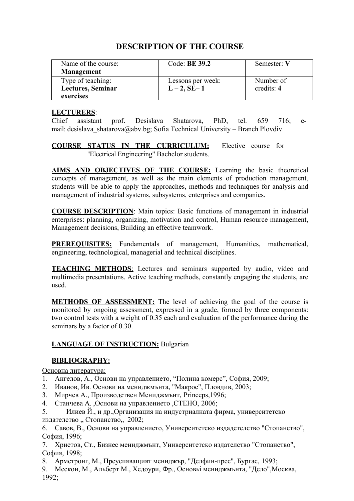| Name of the course:<br><b>Management</b> | Code: <b>BE 39.2</b> | Semester: V  |
|------------------------------------------|----------------------|--------------|
| Type of teaching:                        | Lessons per week:    | Number of    |
| <b>Lectures, Seminar</b>                 | $L - 2$ , SE-1       | credits: $4$ |
| exercises                                |                      |              |

#### **LECTURERS**:

Chief assistant prof. Desislava Shatarova, PhD, tel. 659 716; еmail: desislava\_shatarova@abv.bg; Sofia Technical University – Branch Plovdiv

**COURSE STATUS IN THE CURRICULUM:** Elective course for ''Electrical Engineering'' Bachelor students.

**AIMS AND OBJECTIVES OF THE COURSE:** Learning the basic theoretical concepts of management, as well as the main elements of production management, students will be able to apply the approaches, methods and techniques for analysis and management of industrial systems, subsystems, enterprises and companies.

**COURSE DESCRIPTION**: Main topics: Basic functions of management in industrial enterprises: planning, organizing, motivation and control, Human resource management, Management decisions, Building an effective teamwork.

**PREREQUISITES:** Fundamentals of management, Humanities, mathematical, engineering, technological, managerial and technical disciplines.

**TEACHING METHODS**: Lectures and seminars supported by audio, video and multimedia presentations. Active teaching methods, constantly engaging the students, are used.

**METHODS OF ASSESSMENT:** The level of achieving the goal of the course is monitored by ongoing assessment, expressed in a grade, formed by three components: two control tests with a weight of 0.35 each and evaluation of the performance during the seminars by a factor of 0.30.

# **LANGUAGE OF INSTRUCTION: Bulgarian**

#### **BIBLIOGRAPHY:**

Основна литература:

- 1. Ангелов, А., Основи на управлението, "Полина комерс", София, 2009;
- 2. Иванов, Ив. Основи на мениджмънта, "Макрос", Пловдив, 2003;
- 3. Мирчев А., Производствен Мениджмънт, Princeps,1996;
- 4. Станчева А. ,Основи на управлението ,СТЕНО, 2006;
- 5. Илиев Й., и др.,Организация на индустриалната фирма, университетско издателство "Стопанство 2002;

6. Савов, В., Основи на управлението, Университетско издадетелство "Стопанство", София, 1996;

- 7. Христов, Ст., Бизнес мениджмънт, Университетско издателство "Стопанство", София, 1998;
- 8. Армстронг, М., Преуспяващият мениджър, "Делфин-прес", Бургас, 1993;
- 9. Мескон, М., Альберт М., Хедоури, Фр., Основьi мениджмънта, "Дело",Москва, 1992;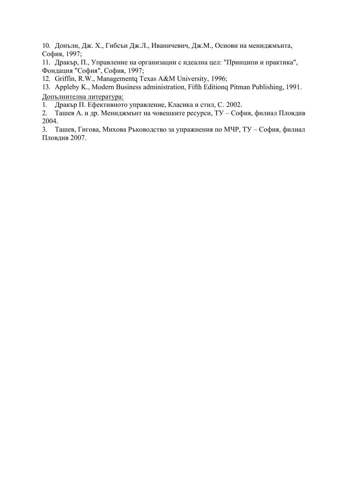10. Донъли, Дж. Х., Гибсън Дж.Л., Иваничевич, Дж.М., Основи на мениджмънта, София, 1997;

11. Дракър, П., Управление на организации с идеална цел: "Принципи и практика", Фондация "София", София, 1997;

12. Griffin, R.W., Managementq Texas A&M University, 1996;

13. Appleby K., Modern Business administration, Fifth Editionq Pitman Publishing, 1991. Допълнителна литература:

1. Дракър П. Ефективното управление, Класика и стил, С. 2002.

2. Ташев А. и др. Мениджмънт на човешките ресурси, ТУ – София, филиал Пловдив 2004.

3. Ташев, Гигова, Михова Ръководство за упражнения по МЧР, ТУ – София, филиал Пловдив 2007.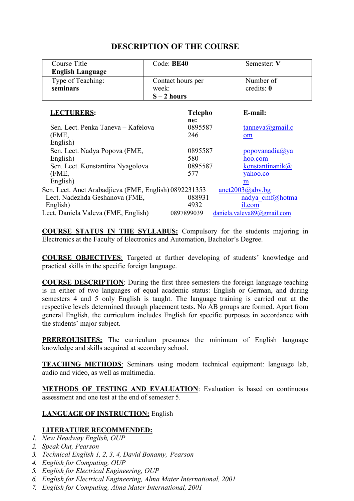| <b>Course Title</b>                                   | Code: BE40            | Semester: V                |
|-------------------------------------------------------|-----------------------|----------------------------|
| <b>English Language</b>                               |                       |                            |
| Type of Teaching:                                     | Contact hours per     | Number of                  |
| seminars                                              | week:                 | credits: 0                 |
|                                                       | $S - 2$ hours         |                            |
| <b>LECTURERS:</b>                                     | <b>Telepho</b><br>ne: | E-mail:                    |
| Sen. Lect. Penka Taneva – Kafelova                    | 0895587               | tanneva(Qgmail.c)          |
| (FME,                                                 | 246                   | om                         |
| English)                                              |                       |                            |
| Sen. Lect. Nadya Popova (FME,                         | 0895587               | popovana dia(a) ya         |
| English)                                              | 580                   | hoo.com                    |
| Sen. Lect. Konstantina Nyagolova                      | 0895587               | konstantinanik@            |
| (FME,                                                 | 577                   | yahoo.co                   |
| English)                                              |                       | m                          |
| Sen. Lect. Anet Arabadjieva (FME, English) 0892231353 |                       | anet2003@abv.bg            |
| Lect. Nadezhda Geshanova (FME,                        | 088931                | nadya cmf@hotma            |
| English)                                              | 4932                  | 1.com                      |
| Lect. Daniela Valeva (FME, English)                   | 0897899039            | daniela.valeva89@gmail.com |

**COURSE STATUS IN THE SYLLABUS:** Compulsory for the students majoring in Electronics at the Faculty of Electronics and Automation, Bachelor's Degree.

**COURSE OBJECTIVES**: Targeted at further developing of students' knowledge and practical skills in the specific foreign language.

**COURSE DESCRIPTION**: During the first three semesters the foreign language teaching is in either of two languages of equal academic status: English or German, and during semesters 4 and 5 only English is taught. The language training is carried out at the respective levels determined through placement tests. No AB groups are formed. Apart from general English, the curriculum includes English for specific purposes in accordance with the students' major subject.

**PREREQUISITES:** The curriculum presumes the minimum of English language knowledge and skills acquired at secondary school.

**TEACHING METHODS**: Seminars using modern technical equipment: language lab, audio and video, as well as multimedia.

**METHODS OF TESTING AND EVALUATION:** Evaluation is based on continuous assessment and one test at the end of semester 5.

#### **LANGUAGE OF INSTRUCTION:** English

# **LITERATURE RECOMMENDED:**

- *1. New Headway English, OUP*
- *2. Speak Out, Pearson*
- *3. Technical English 1, 2, 3, 4, David Bonamy, Pearson*
- *4. English for Computing, OUP*
- *5. English for Electrical Engineering, OUP*
- *6. English for Electrical Engineering, Alma Mater International, 2001*
- *7. English for Computing, Alma Mater International, 2001*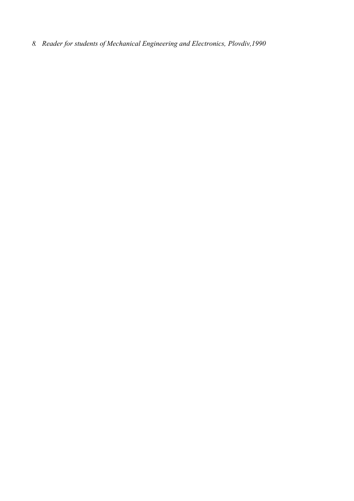*8. Reader for students of Mechanical Engineering and Electronics, Plovdiv,1990*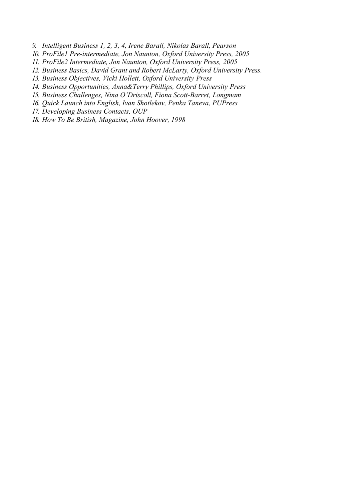*9. Intelligent Business 1, 2, 3, 4, Irene Barall, Nikolas Barall, Pearson*

- *10. ProFile1 Pre-intermediate, Jon Naunton, Oxford University Press, 2005*
- *11. ProFile2 Intermediate, Jon Naunton, Oxford University Press, 2005*
- *12. Business Basics, David Grant and Robert McLarty, Oxford University Press.*
- *13. Business Objectives, Vicki Hollett, Oxford University Press*
- *14. Business Opportunities, Anna&Terry Phillips, Oxford University Press*
- *15. Business Challenges, Nina O'Driscoll, Fiona Scott-Barret, Longmam*
- *16. Quick Launch into English, Ivan Shotlekov, Penka Taneva, PUPress*
- *17. Developing Business Contacts, OUP*
- *18. How To Be British, Magazine, John Hoover, 1998*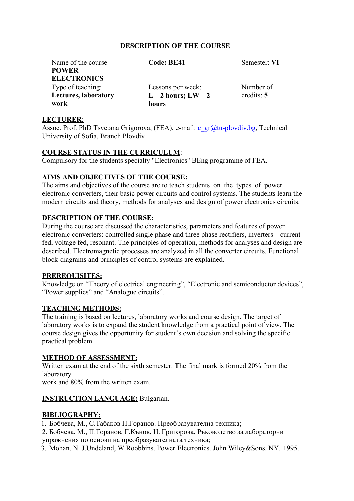| Name of the course          | Code: BE41          | Semester: VI |
|-----------------------------|---------------------|--------------|
| <b>POWER</b>                |                     |              |
| <b>ELECTRONICS</b>          |                     |              |
| Type of teaching:           | Lessons per week:   | Number of    |
| <b>Lectures, laboratory</b> | $L-2$ hours; $LW-2$ | credits: $5$ |
| work                        | hours               |              |

# **LECTURER**:

Assoc. Prof. PhD Tsvetana Grigorova, (FEA), e-mail: [c\\_gr@tu-plovdiv.bg, T](mailto:c_gr@tu-plovdiv.bg)echnical University of Sofia, Branch Plovdiv

#### **COURSE STATUS IN THE CURRICULUM**:

Compulsory for the students specialty "Electronics" BEng programme of FEA.

# **AIMS AND OBJECTIVES OF THE COURSE:**

The aims and objectives of the course are to teach students on the types of power electronic converters, their basic power circuits and control systems. The students learn the modern circuits and theory, methods for analyses and design of power electronics circuits.

# **DESCRIPTION OF THE COURSE:**

During the course are discussed the characteristics, parameters and features of power electronic converters: controlled single phase and three phase rectifiers, inverters – current fed, voltage fed, resonant. The principles of operation, methods for analyses and design are described. Electromagnetic processes are analyzed in all the converter circuits. Functional block-diagrams and principles of control systems are explained.

#### **PREREQUISITES:**

Knowledge on "Theory of electrical engineering", "Electronic and semiconductor devices", "Power supplies" and "Analogue circuits".

# **TEACHING METHODS:**

The training is based on lectures, laboratory works and course design. The target of laboratory works is to expand the student knowledge from a practical point of view. The course design gives the opportunity for student's own decision and solving the specific practical problem.

# **METHOD OF ASSESSMENT:**

Written exam at the end of the sixth semester. The final mark is formed 20% from the laboratory

work and 80% from the written exam.

# **INSTRUCTION LANGUAGE:** Bulgarian.

# **BIBLIOGRAPHY:**

1. Бобчева, М., С.Табаков П.Горанов. Преобразувателна техника;

2. Бобчева, М., П.Горанов, Г.Кънов, Ц. Григорова, Ръководство за лабораторни упражнения по основи на преобразувателната техника;

3. Mohan, N. J.Undeland, W.Roobbins. Power Electronics. John Wiley&Sons. NY. 1995.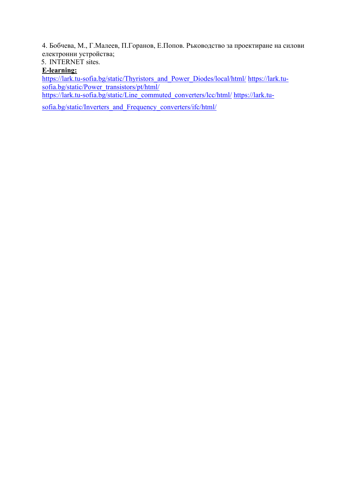4. Бобчева, М., Г.Малеев, П.Горанов, Е.Попов. Ръководство за проектиране на силови електронни устройства;

5. INTERNET sites.

# **E-learning:**

[https://lark.tu-sofia.bg/static/Thyristors\\_and\\_Power\\_Diodes/local/html/](https://lark.tu-sofia.bg/static/Thyristors_and_Power_Diodes/local/html/) [https://lark.tu](https://lark.tu-sofia.bg/static/Power_transistors/pt/html/)[sofia.bg/static/Power\\_transistors/pt/html/](https://lark.tu-sofia.bg/static/Power_transistors/pt/html/)

[https://lark.tu-sofia.bg/static/Line\\_commuted\\_converters/lcc/html/](https://lark.tu-sofia.bg/static/Line_commuted_converters/lcc/html/) [https://lark.tu-](https://lark.tu-sofia.bg/static/Inverters_and_Frequency_converters/ifc/html/)

[sofia.bg/static/Inverters\\_and\\_Frequency\\_converters/ifc/html/](https://lark.tu-sofia.bg/static/Inverters_and_Frequency_converters/ifc/html/)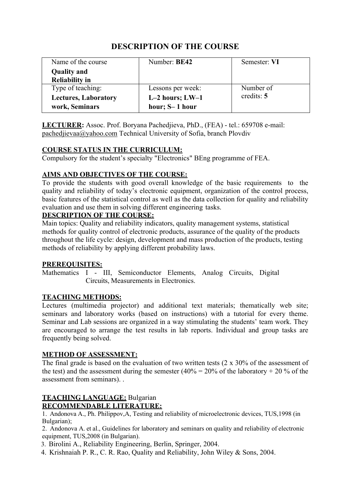| Name of the course          | Number: BE42        | Semester: VI |
|-----------------------------|---------------------|--------------|
| <b>Quality and</b>          |                     |              |
| <b>Reliability in</b>       |                     |              |
| Type of teaching:           | Lessons per week:   | Number of    |
| <b>Lectures, Laboratory</b> | $L-2$ hours; $LW-1$ | credits: $5$ |
| work, Seminars              | hour; S-1 hour      |              |

**LECTURER:** Assoc. Prof. Boryana Pachedjieva, PhD., (FEA) - tel.: 659708 e-mail: [pachedjievaa@yahoo.com T](mailto:pachedjievaa@yahoo.com)echnical University of Sofia, branch Plovdiv

#### **COURSE STATUS IN THE CURRICULUM:**

Compulsory for the student's specialty "Electronics" BEng programme of FEA.

# **AIMS AND OBJECTIVES OF THE COURSE:**

To provide the students with good overall knowledge of the basic requirements to the quality and reliability of today's electronic equipment, organization of the control process, basic features of the statistical control as well as the data collection for quality and reliability evaluation and use them in solving different engineering tasks.

#### **DESCRIPTION OF THE COURSE:**

Main topics: Quality and reliability indicators, quality management systems, statistical methods for quality control of electronic products, assurance of the quality of the products throughout the life cycle: design, development and mass production of the products, testing methods of reliability by applying different probability laws.

#### **PREREQUISITES:**

Mathematics I - III, Semiconductor Elements, Analog Circuits, Digital Circuits, Measurements in Electronics.

# **TEACHING METHODS:**

Lectures (multimedia projector) and additional text materials; thematically web site; seminars and laboratory works (based on instructions) with a tutorial for every theme. Seminar and Lab sessions are organized in a way stimulating the students' team work. They are encouraged to arrange the test results in lab reports. Individual and group tasks are frequently being solved.

#### **METHOD OF ASSESSMENT:**

The final grade is based on the evaluation of two written tests (2 x 30% of the assessment of the test) and the assessment during the semester (40% =  $20\%$  of the laboratory + 20 % of the assessment from seminars). .

#### **TEACHING LANGUAGE:** Bulgarian **RECOMMENDABLE LITERATURE:**

1. Andonova A., Ph. Philippov,А, Testing and reliability of microelectronic devices, TUS,1998 (in Bulgarian);

2. Andonova A. et al., Guidelines for laboratory and seminars on quality and reliability of electronic equipment, TUS,2008 (in Bulgarian).

3. Birolini A., Reliability Engineering, Berlin, Springer, 2004.

4. Krishnaiah P. R., C. R. Rao, Quality and Reliability, John Wiley & Sons, 2004.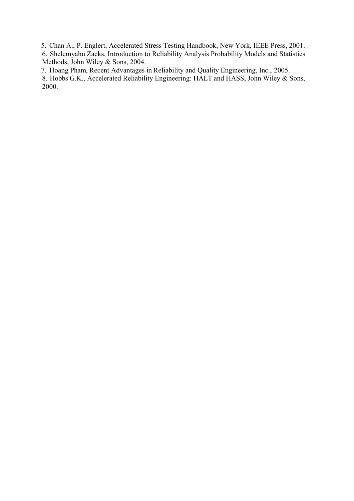5. Chan A., P. Englert, Accelerated Stress Testing Handbook, New York, IEEE Press, 2001.

6. Shelemyahu Zacks, Introduction to Reliability Analysis Probability Models and Statistics Methods, John Wiley & Sons, 2004.

7. Hoang Pham, Recent Advantages in Reliability and Quality Engineering, Inc., 2005.

8. Hobbs G.K., Accelerated Reliability Engineering: HALT and HASS, John Wiley & Sons, 2000.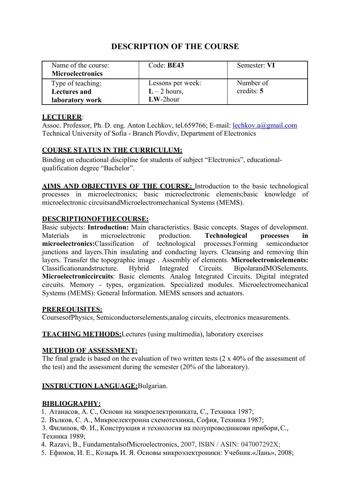| Name of the course:     | Code: BE43        | Semester: VI |
|-------------------------|-------------------|--------------|
| <b>Microelectronics</b> |                   |              |
| Type of teaching:       | Lessons per week: | Number of    |
| <b>Lectures and</b>     | $L - 2$ hours,    | credits: $5$ |
| laboratory work         | $LW-2$ hour       |              |

#### **LECTURER**:

Assoc. Professor, Ph. D. eng. Anton Lechkov, tel.659766; E-mail: lechkov.a@gmail.com Technical University of Sofia - Branch Plovdiv, Department of Electronics

#### **COURSE STATUS IN THE CURRICULUM:**

Binding on educational discipline for students of subject "Electronics", educationalqualification degree "Bachelor".

**AIMS AND OBJECTIVES OF THE COURSE:** Introduction to the basic technological processes in microelectronics; basic microelectronic elements;basic knowledge of microelectronic circuitsandMicroelectromechanical Systems (MEMS).

#### **DESCRIPTIONOFTHECOURSE:**

Basic subjects: **Introduction:** Main characteristics. Basic concepts. Stages of development. Materials in microelectronic production. **Technological processes microelectronics:**Classification of technological processes.Forming semicon **microelectronics:**Classification of technological processes.Forming semiconductor junctions and layers.Thin insulating and conducting layers. Cleansing and removing thin layers. Transfer the topographic image . Assembly of elements. **Microelectronicelements:**  Classificationandstructure. Hybrid Integrated Circuits. BipolarandMOSelements. **Microelectroniccircuits**: Basic elements. Analog Integrated Circuits. Digital integrated circuits. Memory - types, organization. Specialized modules. Microelectromechanical Systems (MEMS): General Information. MEMS sensors and actuators.

#### **PREREQUISITES:**

CoursesofPhysics, Semiconductorselements,analog circuits, electronics measurements.

**TEACHING METHODS:**Lectures (using multimedia), laboratory exercises

#### **METHOD OF ASSESSMENT:**

The final grade is based on the evaluation of two written tests (2 x 40% of the assessment of the test) and the assessment during the semester (20% of the laboratory).

#### **INSTRUCTION LANGUAGE:**Bulgarian.

#### **BIBLIOGRAPHY:**

- 1. Атанасов, А. С., Основи на микроелектрониката, С., Техника 1987;
- 2. Вълков, С. А., Микроелектронна схемотехника, София, Техника 1987;

3. Филипов, Ф. И., Конструкция и технология на полупроводникови прибори,С., Техника 1989;

- 4. Razavi, B., FundamentalsofMicroelectronics, 2007, ISBN / ASIN: 047007292X;
- 5. Ефимов, И. Е., Козырь И. Я. Основы микроэлектроники: Учебник.«Лань», 2008;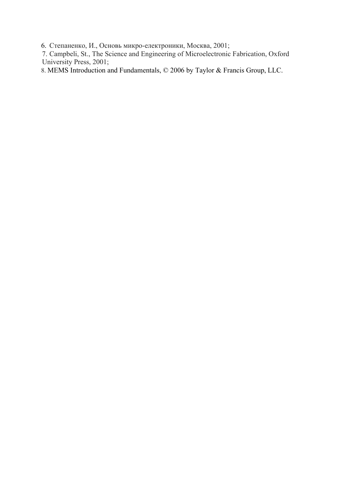6. Степаненко, И., Основь микро-електроники, Москва, 2001;

7. Campbeli, St., The Science and Engineering of Microelectronic Fabrication, Oxford University Press, 2001;

8. MEMS Introduction and Fundamentals, © 2006 by Taylor & Francis Group, LLC.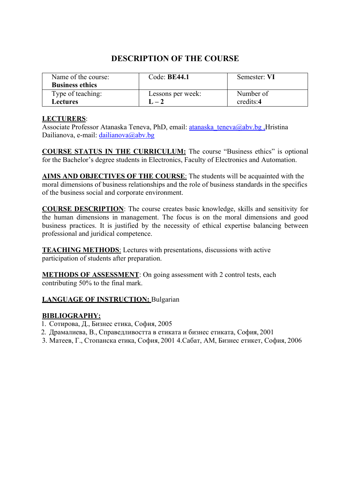| Name of the course:<br><b>Business ethics</b> | Code: $BE44.1$    | Semester: VI |
|-----------------------------------------------|-------------------|--------------|
| Type of teaching:                             | Lessons per week: | Number of    |
| Lectures                                      | $1 - 2$           | credits:4    |

#### **LECTURERS**:

Associate Professor Atanaska Teneva, PhD, email: atanaska\_teneva@abv.bg ,Hristina Dailianova, e-mail: [dailianova@abv.bg](mailto:dailianova@abv.bg)

**COURSE STATUS IN THE CURRICULUM:** The course "Business ethics" is optional for the Bachelor's degree students in Electronics, Faculty of Electronics and Automation.

**AIMS AND OBJECTIVES OF THE COURSE**: The students will be acquainted with the moral dimensions of business relationships and the role of business standards in the specifics of the business social and corporate environment.

**COURSE DESCRIPTION**: The course creates basic knowledge, skills and sensitivity for the human dimensions in management. The focus is on the moral dimensions and good business practices. It is justified by the necessity of ethical expertise balancing between professional and juridical competence.

**TEACHING METHODS**: Lectures with presentations, discussions with active participation of students after preparation.

**METHODS OF ASSESSMENT**: On going assessment with 2 control tests, each contributing 50% to the final mark.

# **LANGUAGE OF INSTRUCTION: Bulgarian**

#### **BIBLIOGRAPHY:**

- 1. Сотирова, Д., Бизнес етика, София, 2005
- 2. Драмалиева, В., Справедливостта в етиката и бизнес етиката, София, 2001
- 3. Матеев, Г., Стопанска етика, София, 2001 4.Сабат, АМ, Бизнес етикет, София, 2006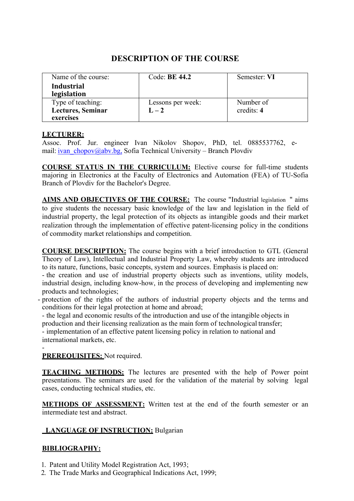| Name of the course: | Code: <b>BE 44.2</b> | Semester: VI |
|---------------------|----------------------|--------------|
| <b>Industrial</b>   |                      |              |
| legislation         |                      |              |
| Type of teaching:   | Lessons per week:    | Number of    |
| Lectures, Seminar   | $L-2$                | credits: 4   |
| exercises           |                      |              |

#### **LECTURER:**

Assoc. Prof. Jur. engineer Ivan Nikolov Shopov, PhD, tel. 0885537762, email: [ivan\\_chopov@abv.bg, S](mailto:ivan_chopov@abv.bg)ofia Technical University – Branch Plovdiv

**COURSE STATUS IN THE CURRICULUM:** Elective course for full-time students majoring in Electronics at the Faculty of Electronics and Automation (FEA) of TU-Sofia Branch of Plovdiv for the Bachelor's Degree.

**AIMS AND OBJECTIVES OF THE COURSE:** The course "Industrial legislation " aims to give students the necessary basic knowledge of the law and legislation in the field of industrial property, the legal protection of its objects as intangible goods and their market realization through the implementation of effective patent-licensing policy in the conditions of commodity market relationships and competition.

**COURSE DESCRIPTION:** The course begins with a brief introduction to GTL (General Theory of Law), Intellectual and Industrial Property Law, whereby students are introduced to its nature, functions, basic concepts, system and sources. Emphasis is placed on:

- the creation and use of industrial property objects such as inventions, utility models, industrial design, including know-how, in the process of developing and implementing new products and technologies;

- protection of the rights of the authors of industrial property objects and the terms and conditions for their legal protection at home and abroad;

- the legal and economic results of the introduction and use of the intangible objects in production and their licensing realization as the main form of technological transfer;

- implementation of an effective patent licensing policy in relation to national and international markets, etc.

- **PREREQUISITES:** Not required.

**TEACHING METHODS:** The lectures are presented with the help of Power point presentations. The seminars are used for the validation of the material by solving legal cases, conducting technical studies, etc.

**METHODS OF ASSESSMENT:** Written test at the end of the fourth semester or an intermediate test and abstract.

# **LANGUAGE OF INSTRUCTION:** Bulgarian

# **BIBLIOGRAPHY:**

1. Patent and Utility Model Registration Act, 1993;

2. The Trade Marks and Geographical Indications Act, 1999;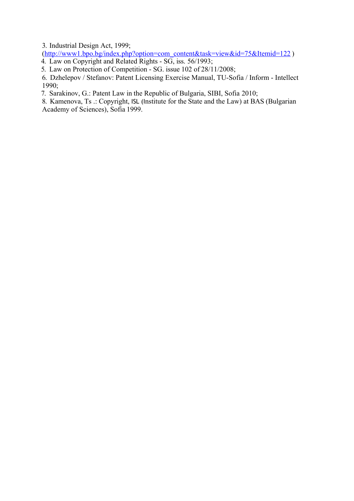3. Industrial Design Act, 1999;

([http://www1.bpo.bg/index.php?option=com\\_content&task=view&id=75&Itemid=122](http://www1.bpo.bg/index.php?option=com_content&task=view&id=75&Itemid=122) ) 4. Law on Copyright and Related Rights - SG, iss. 56/1993;

5. Law on Protection of Competition - SG. issue 102 of 28/11/2008;

6. Dzhelepov / Stefanov: Patent Licensing Exercise Manual, TU-Sofia / Inform - Intellect 1990;

7. Sarakinov, G.: Patent Law in the Republic of Bulgaria, SIBI, Sofia 2010;

8. Kamenova, Ts .: Copyright, ISL (Institute for the State and the Law) at BAS (Bulgarian Academy of Sciences), Sofia 1999.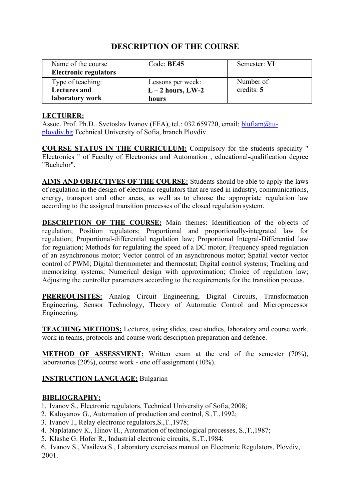| Name of the course<br><b>Electronic regulators</b> | Code: BE45        | Semester: VI |
|----------------------------------------------------|-------------------|--------------|
| Type of teaching:                                  | Lessons per week: | Number of    |
| <b>Lectures and</b>                                | $L-2$ hours, LW-2 | credits: $5$ |
| laboratory work                                    | hours             |              |

#### **LECTURER:**

Assoc. Prof. Ph.D.. Svetoslav Ivanov (FEA), tel.: 032 659720, email: [bluflam@tu](mailto:bluflam@tu-plovdiv.bg)[plovdiv.bg](mailto:bluflam@tu-plovdiv.bg) Technical University of Sofia, branch Plovdiv.

**COURSE STATUS IN THE CURRICULUM:** Compulsory for the students specialty " Electronics " of Faculty of Electronics and Automation , educational-qualification degree "Bachelor".

**AIMS AND OBJECTIVES OF THE COURSE:** Students should be able to apply the laws of regulation in the design of electronic regulators that are used in industry, communications, energy, transport and other areas, as well as to choose the appropriate regulation law according to the assigned transition processes of the closed regulation system.

**DESCRIPTION OF THE COURSE:** Main themes: Identification of the objects of regulation; Position regulators; Proportional and proportionally-integrated law for regulation; Proportional-differential regulation law; Proportional Integral-Differential law for regulation; Methods for regulating the speed of a DC motor; Frequency speed regulation of an asynchronous motor; Vector control of an asynchronous motor; Spatial vector vector control of PWM; Digital thermometer and thermostat; Digital control systems; Tracking and memorizing systems; Numerical design with approximation; Choice of regulation law; Adjusting the controller parameters according to the requirements for the transition process.

**PREREQUISITES:** Analog Circuit Engineering, Digital Circuits, Transformation Engineering, Sensor Technology, Theory of Automatic Control and Microprocessor Engineering.

**TEACHING METHODS:** Lectures, using slides, case studies, laboratory and course work, work in teams, protocols and course work description preparation and defence.

**METHOD OF ASSESSMENT:** Written exam at the end of the semester (70%), laboratories (20%), course work - one off assignment (10%).

# **INSTRUCTION LANGUAGE;** Bulgarian

#### **BIBLIOGRAPHY:**

- 1. Ivanov S., Electronic regulators, Technical University of Sofia, 2008;
- 2. Kaloyanov G., Automation of production and control, S.,Т.,1992;
- 3. Ivanov I., Relay electronic regulators,S.,Т.,1978;
- 4. Naplatanov К., Hinov H., Automation of technological processes, S.,Т.,1987;
- 5. Klashe G. Hofer R., Industrial electronic circuits, S.,T.,1984;

6. Ivanov S., Vasileva S., Laboratory exercises manual on Electronic Regulators, Plovdiv, 2001.